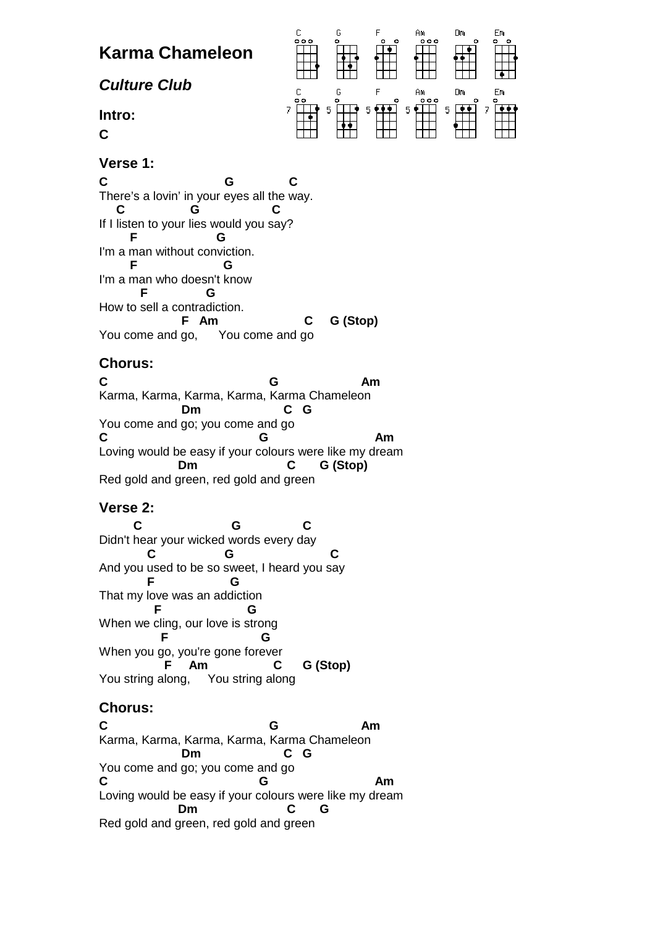

### **Verse 1:**

**C G C**  There's a lovin' in your eyes all the way.  **C G C**  If I listen to your lies would you say?  **F G**  I'm a man without conviction.  **F G**  I'm a man who doesn't know  **F G**  How to sell a contradiction.  **F Am C G (Stop)**  You come and go, You come and go

# **Chorus:**

**C G Am**  Karma, Karma, Karma, Karma, Karma Chameleon  **Dm C G**  You come and go; you come and go C G Am Loving would be easy if your colours were like my dream  **Dm C G (Stop)**  Red gold and green, red gold and green

## **Verse 2:**

 **C G C**  Didn't hear your wicked words every day  **C G C**  And you used to be so sweet, I heard you say  **F G**  That my love was an addiction **F** G When we cling, our love is strong **F** G When you go, you're gone forever  **F Am C G (Stop)**  You string along, You string along

# **Chorus:**

**C G Am**  Karma, Karma, Karma, Karma, Karma Chameleon  **Dm C G**  You come and go; you come and go C G Am Loving would be easy if your colours were like my dream  **Dm C G**  Red gold and green, red gold and green